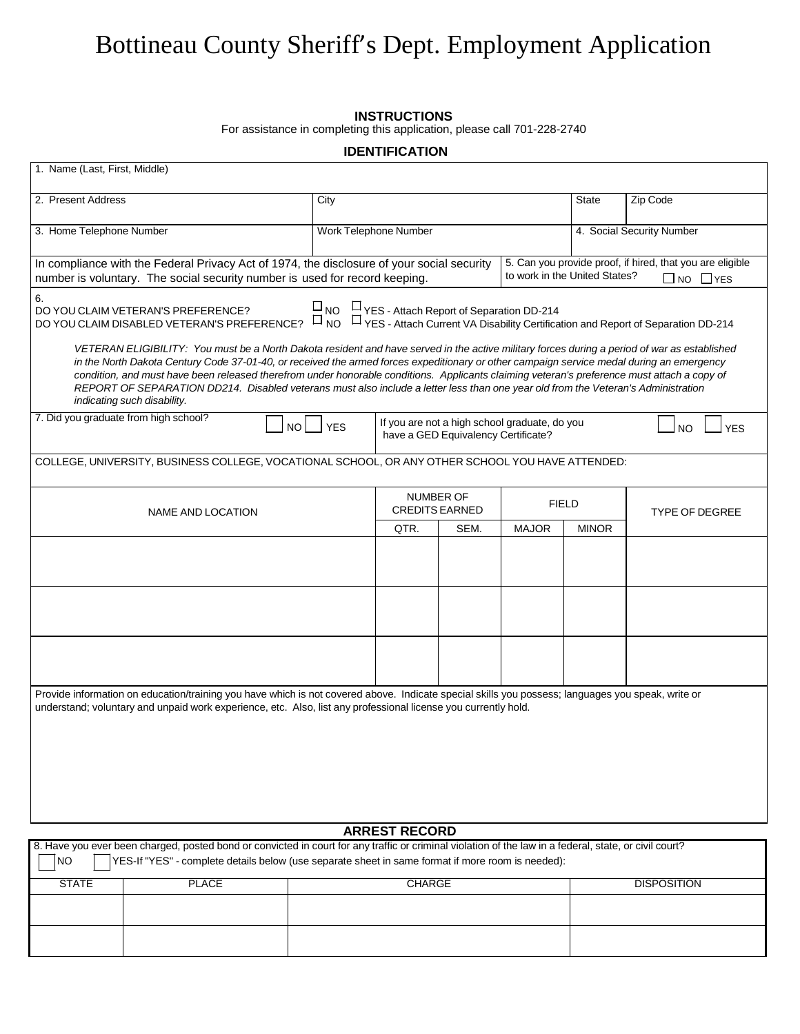# Bottineau County Sheriff's Dept. Employment Application

#### **INSTRUCTIONS**

For assistance in completing this application, please call 701-228-2740

|                                                                                                                                                                                                                                                                                                                                                                                                                                                                                                                                                                                                                                                                                                                                                                                                                                                                                                 |            | <b>IDENTIFICATION</b>    |                                     |                                               |              |                                                                                   |
|-------------------------------------------------------------------------------------------------------------------------------------------------------------------------------------------------------------------------------------------------------------------------------------------------------------------------------------------------------------------------------------------------------------------------------------------------------------------------------------------------------------------------------------------------------------------------------------------------------------------------------------------------------------------------------------------------------------------------------------------------------------------------------------------------------------------------------------------------------------------------------------------------|------------|--------------------------|-------------------------------------|-----------------------------------------------|--------------|-----------------------------------------------------------------------------------|
| 1. Name (Last, First, Middle)                                                                                                                                                                                                                                                                                                                                                                                                                                                                                                                                                                                                                                                                                                                                                                                                                                                                   |            |                          |                                     |                                               |              |                                                                                   |
| 2. Present Address                                                                                                                                                                                                                                                                                                                                                                                                                                                                                                                                                                                                                                                                                                                                                                                                                                                                              | City       |                          |                                     |                                               | <b>State</b> | Zip Code                                                                          |
| 3. Home Telephone Number                                                                                                                                                                                                                                                                                                                                                                                                                                                                                                                                                                                                                                                                                                                                                                                                                                                                        |            | Work Telephone Number    |                                     |                                               |              | 4. Social Security Number                                                         |
| In compliance with the Federal Privacy Act of 1974, the disclosure of your social security<br>number is voluntary. The social security number is used for record keeping.                                                                                                                                                                                                                                                                                                                                                                                                                                                                                                                                                                                                                                                                                                                       |            |                          |                                     | to work in the United States?                 |              | 5. Can you provide proof, if hired, that you are eligible<br>$\Box$ NO $\Box$ YES |
| 6.<br>UNO UTERAN'S PREFERENCE?<br>DO YOU CLAIM VETERAN'S PREFERENCE? UNO UTES - Attach Report of Separation DD-214<br>DO YOU CLAIM DISABLED VETERAN'S PREFERENCE? UNO UTES - Attach Current VA Disability Certification and Report of Sep<br>DO YOU CLAIM VETERAN'S PREFERENCE?<br>VETERAN ELIGIBILITY: You must be a North Dakota resident and have served in the active military forces during a period of war as established<br>in the North Dakota Century Code 37-01-40, or received the armed forces expeditionary or other campaign service medal during an emergency<br>condition, and must have been released therefrom under honorable conditions. Applicants claiming veteran's preference must attach a copy of<br>REPORT OF SEPARATION DD214. Disabled veterans must also include a letter less than one year old from the Veteran's Administration<br>indicating such disability. |            |                          |                                     |                                               |              |                                                                                   |
| 7. Did you graduate from high school?<br>NO                                                                                                                                                                                                                                                                                                                                                                                                                                                                                                                                                                                                                                                                                                                                                                                                                                                     | <b>YES</b> |                          | have a GED Equivalency Certificate? | If you are not a high school graduate, do you |              | <b>YFS</b><br>N <sub>O</sub>                                                      |
| COLLEGE, UNIVERSITY, BUSINESS COLLEGE, VOCATIONAL SCHOOL, OR ANY OTHER SCHOOL YOU HAVE ATTENDED:                                                                                                                                                                                                                                                                                                                                                                                                                                                                                                                                                                                                                                                                                                                                                                                                |            |                          |                                     |                                               |              |                                                                                   |
| NAME AND LOCATION                                                                                                                                                                                                                                                                                                                                                                                                                                                                                                                                                                                                                                                                                                                                                                                                                                                                               |            | <b>NUMBER OF</b><br>QTR. | <b>CREDITS EARNED</b><br>SEM.       | <b>FIELD</b><br><b>MAJOR</b>                  | <b>MINOR</b> | <b>TYPE OF DEGREE</b>                                                             |
|                                                                                                                                                                                                                                                                                                                                                                                                                                                                                                                                                                                                                                                                                                                                                                                                                                                                                                 |            |                          |                                     |                                               |              |                                                                                   |
| Provide information on education/training you have which is not covered above. Indicate special skills you possess; languages you speak, write or<br>understand; voluntary and unpaid work experience, etc. Also, list any professional license you currently hold.                                                                                                                                                                                                                                                                                                                                                                                                                                                                                                                                                                                                                             |            |                          |                                     |                                               |              |                                                                                   |
|                                                                                                                                                                                                                                                                                                                                                                                                                                                                                                                                                                                                                                                                                                                                                                                                                                                                                                 |            |                          |                                     |                                               |              |                                                                                   |

| <b>ARREST RECORD</b> |              |                                                                                                                                                        |                    |  |  |
|----------------------|--------------|--------------------------------------------------------------------------------------------------------------------------------------------------------|--------------------|--|--|
|                      |              | 8. Have you ever been charged, posted bond or convicted in court for any traffic or criminal violation of the law in a federal, state, or civil court? |                    |  |  |
| INO.                 |              | YES-If "YES" - complete details below (use separate sheet in same format if more room is needed):                                                      |                    |  |  |
| <b>STATE</b>         | <b>PLACE</b> | CHARGE                                                                                                                                                 | <b>DISPOSITION</b> |  |  |
|                      |              |                                                                                                                                                        |                    |  |  |
|                      |              |                                                                                                                                                        |                    |  |  |
|                      |              |                                                                                                                                                        |                    |  |  |
|                      |              |                                                                                                                                                        |                    |  |  |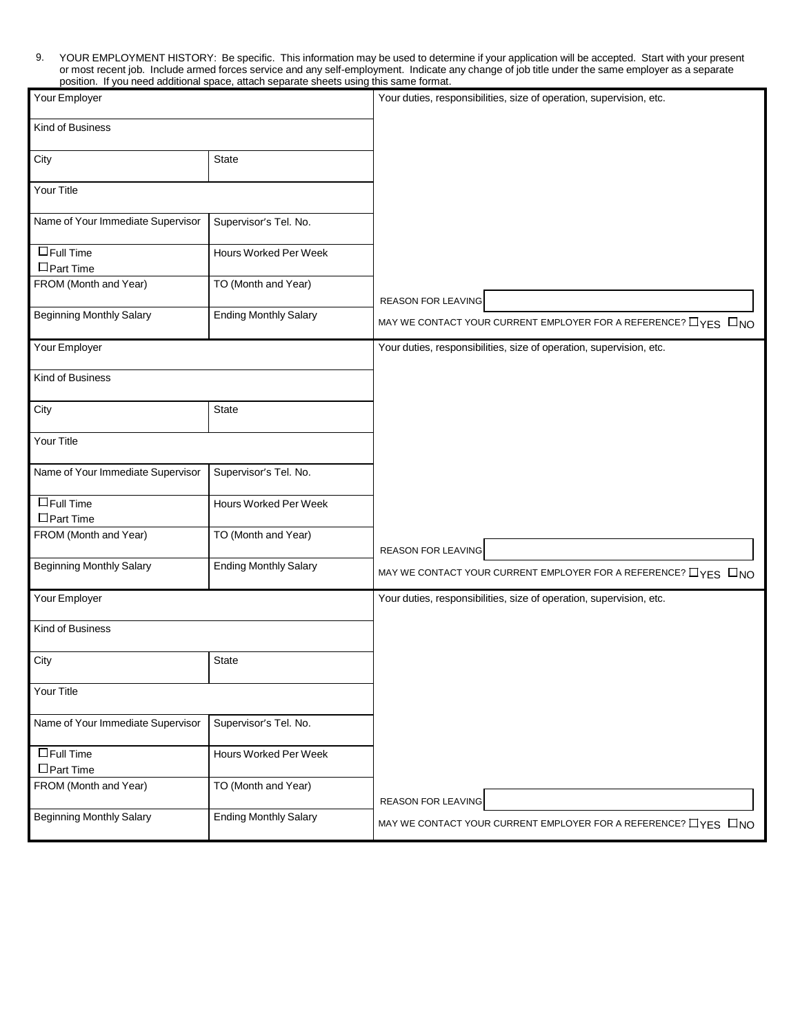9. YOUR EMPLOYMENT HISTORY: Be specific. This information may be used to determine if your application will be accepted. Start with your present or most recent job. Include armed forces service and any self-employment. Indicate any change of job title under the same employer as a separate position. If you need additional space, attach separate sheets using this same format.

| Your Employer                        |                              | Your duties, responsibilities, size of operation, supervision, etc.        |
|--------------------------------------|------------------------------|----------------------------------------------------------------------------|
| Kind of Business                     |                              |                                                                            |
| City                                 | State                        |                                                                            |
| Your Title                           |                              |                                                                            |
| Name of Your Immediate Supervisor    | Supervisor's Tel. No.        |                                                                            |
| $\Box$ Full Time<br>$\Box$ Part Time | Hours Worked Per Week        |                                                                            |
| FROM (Month and Year)                | TO (Month and Year)          | REASON FOR LEAVING                                                         |
| <b>Beginning Monthly Salary</b>      | <b>Ending Monthly Salary</b> | MAY WE CONTACT YOUR CURRENT EMPLOYER FOR A REFERENCE? $\Box$ YES $\Box$ NO |
| Your Employer                        |                              | Your duties, responsibilities, size of operation, supervision, etc.        |
| Kind of Business                     |                              |                                                                            |
| City                                 | <b>State</b>                 |                                                                            |
| Your Title                           |                              |                                                                            |
| Name of Your Immediate Supervisor    | Supervisor's Tel. No.        |                                                                            |
| $\Box$ Full Time<br>$\Box$ Part Time | Hours Worked Per Week        |                                                                            |
| FROM (Month and Year)                | TO (Month and Year)          | REASON FOR LEAVING                                                         |
| <b>Beginning Monthly Salary</b>      | <b>Ending Monthly Salary</b> | MAY WE CONTACT YOUR CURRENT EMPLOYER FOR A REFERENCE? $\Box$ YES $\Box$ NO |
| Your Employer                        |                              | Your duties, responsibilities, size of operation, supervision, etc.        |
| Kind of Business                     |                              |                                                                            |
| City                                 | State                        |                                                                            |
| Your Title                           |                              |                                                                            |
| Name of Your Immediate Supervisor    | Supervisor's Tel. No.        |                                                                            |
| $\Box$ Full Time<br>$\Box$ Part Time | Hours Worked Per Week        |                                                                            |
| FROM (Month and Year)                | TO (Month and Year)          | REASON FOR LEAVING                                                         |
| <b>Beginning Monthly Salary</b>      | <b>Ending Monthly Salary</b> | MAY WE CONTACT YOUR CURRENT EMPLOYER FOR A REFERENCE? $\Box$ YES $\Box$ NO |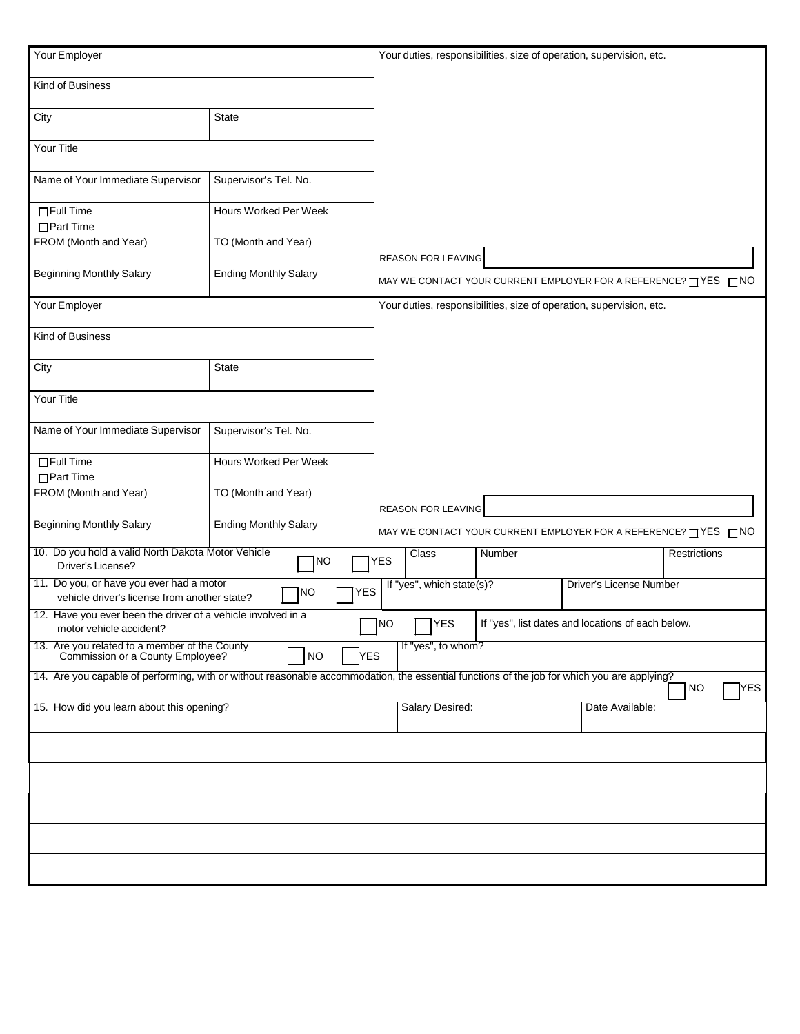| Your Employer                                                                                                                               |                              |                           |        | Your duties, responsibilities, size of operation, supervision, etc. |                  |
|---------------------------------------------------------------------------------------------------------------------------------------------|------------------------------|---------------------------|--------|---------------------------------------------------------------------|------------------|
| Kind of Business                                                                                                                            |                              |                           |        |                                                                     |                  |
| City                                                                                                                                        | <b>State</b>                 |                           |        |                                                                     |                  |
| Your Title                                                                                                                                  |                              |                           |        |                                                                     |                  |
| Name of Your Immediate Supervisor                                                                                                           | Supervisor's Tel. No.        |                           |        |                                                                     |                  |
| $\Box$ Full Time<br>$\Box$ Part Time                                                                                                        | Hours Worked Per Week        |                           |        |                                                                     |                  |
| FROM (Month and Year)                                                                                                                       | TO (Month and Year)          | REASON FOR LEAVING        |        |                                                                     |                  |
| <b>Beginning Monthly Salary</b>                                                                                                             | <b>Ending Monthly Salary</b> |                           |        | MAY WE CONTACT YOUR CURRENT EMPLOYER FOR A REFERENCE? TYES TNO      |                  |
| Your Employer                                                                                                                               |                              |                           |        | Your duties, responsibilities, size of operation, supervision, etc. |                  |
| Kind of Business                                                                                                                            |                              |                           |        |                                                                     |                  |
| City                                                                                                                                        | <b>State</b>                 |                           |        |                                                                     |                  |
| Your Title                                                                                                                                  |                              |                           |        |                                                                     |                  |
| Name of Your Immediate Supervisor                                                                                                           | Supervisor's Tel. No.        |                           |        |                                                                     |                  |
| $\Box$ Full Time<br>$\Box$ Part Time                                                                                                        | Hours Worked Per Week        |                           |        |                                                                     |                  |
| FROM (Month and Year)                                                                                                                       | TO (Month and Year)          | REASON FOR LEAVING        |        |                                                                     |                  |
| <b>Beginning Monthly Salary</b>                                                                                                             | <b>Ending Monthly Salary</b> |                           |        | MAY WE CONTACT YOUR CURRENT EMPLOYER FOR A REFERENCE? TYES TINO     |                  |
| 10. Do you hold a valid North Dakota Motor Vehicle<br>Driver's License?                                                                     | <b>NO</b>                    | Class<br><b>YES</b>       | Number |                                                                     | Restrictions     |
| 11. Do you, or have you ever had a motor<br>vehicle driver's license from another state?                                                    | <b>YES</b><br><b>NO</b>      | If "yes", which state(s)? |        | Driver's License Number                                             |                  |
| 12. Have you ever been the driver of a vehicle involved in a<br>motor vehicle accident?                                                     |                              | NO]<br>YES]               |        | If "yes", list dates and locations of each below.                   |                  |
| 13. Are you related to a member of the County<br>Commission or a County Employee?                                                           | <b>NO</b><br><b>YES</b>      | If "yes", to whom?        |        |                                                                     |                  |
| 14. Are you capable of performing, with or without reasonable accommodation, the essential functions of the job for which you are applying? |                              |                           |        |                                                                     | <b>NO</b><br>YES |
| 15. How did you learn about this opening?                                                                                                   |                              | Salary Desired:           |        | Date Available:                                                     |                  |
|                                                                                                                                             |                              |                           |        |                                                                     |                  |
|                                                                                                                                             |                              |                           |        |                                                                     |                  |
|                                                                                                                                             |                              |                           |        |                                                                     |                  |
|                                                                                                                                             |                              |                           |        |                                                                     |                  |
|                                                                                                                                             |                              |                           |        |                                                                     |                  |
|                                                                                                                                             |                              |                           |        |                                                                     |                  |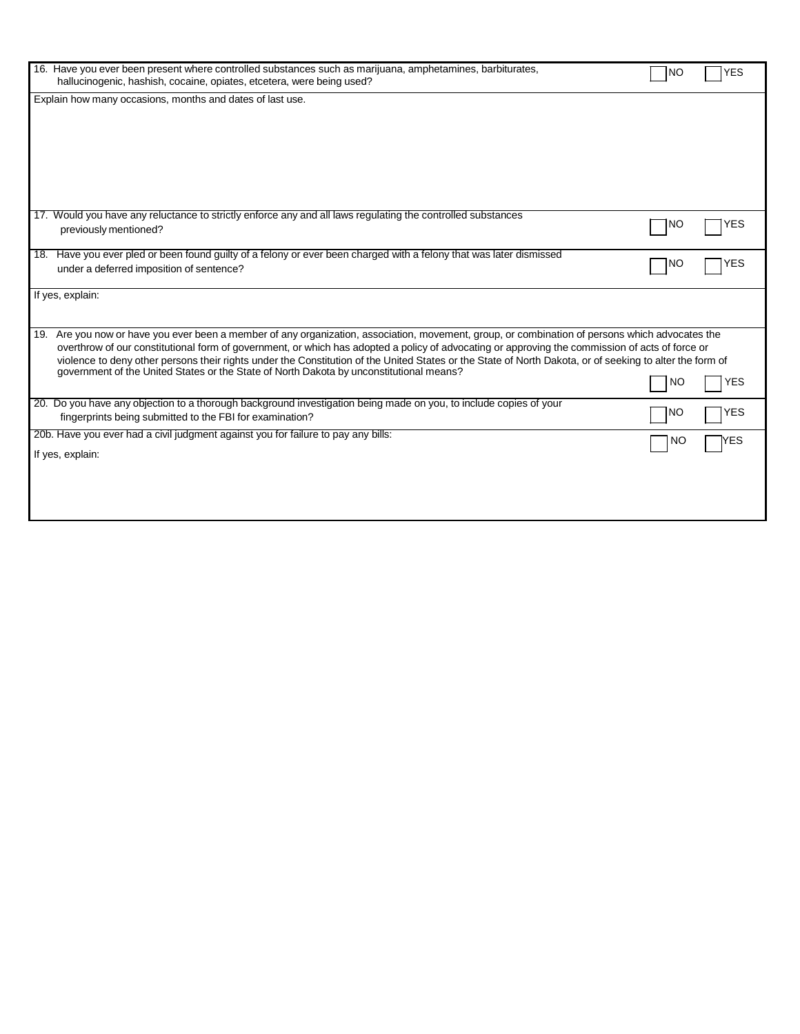| 16. Have you ever been present where controlled substances such as marijuana, amphetamines, barbiturates,<br>hallucinogenic, hashish, cocaine, opiates, etcetera, were being used?                                                                                                                                                                                                                                                                                                                                                                           | <b>NO</b> | <b>YES</b> |
|--------------------------------------------------------------------------------------------------------------------------------------------------------------------------------------------------------------------------------------------------------------------------------------------------------------------------------------------------------------------------------------------------------------------------------------------------------------------------------------------------------------------------------------------------------------|-----------|------------|
| Explain how many occasions, months and dates of last use.                                                                                                                                                                                                                                                                                                                                                                                                                                                                                                    |           |            |
| 17. Would you have any reluctance to strictly enforce any and all laws regulating the controlled substances<br>previously mentioned?                                                                                                                                                                                                                                                                                                                                                                                                                         | NO        | YES        |
| 18. Have you ever pled or been found guilty of a felony or ever been charged with a felony that was later dismissed<br>under a deferred imposition of sentence?                                                                                                                                                                                                                                                                                                                                                                                              | <b>NO</b> | <b>YES</b> |
| If yes, explain:                                                                                                                                                                                                                                                                                                                                                                                                                                                                                                                                             |           |            |
| Are you now or have you ever been a member of any organization, association, movement, group, or combination of persons which advocates the<br>19.<br>overthrow of our constitutional form of government, or which has adopted a policy of advocating or approving the commission of acts of force or<br>violence to deny other persons their rights under the Constitution of the United States or the State of North Dakota, or of seeking to alter the form of<br>government of the United States or the State of North Dakota by unconstitutional means? | NO        | YES        |
| 20. Do you have any objection to a thorough background investigation being made on you, to include copies of your<br>fingerprints being submitted to the FBI for examination?                                                                                                                                                                                                                                                                                                                                                                                | NO        | YES        |
| 20b. Have you ever had a civil judgment against you for failure to pay any bills:<br>If yes, explain:                                                                                                                                                                                                                                                                                                                                                                                                                                                        | NO        | YES        |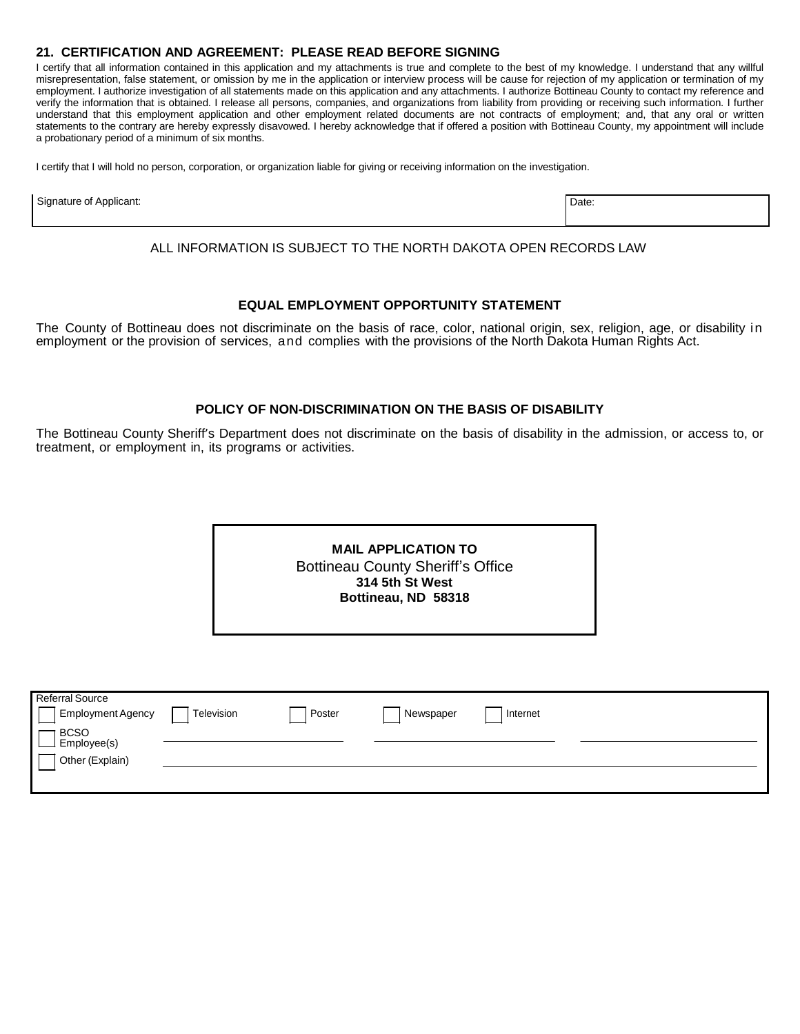## **21. CERTIFICATION AND AGREEMENT: PLEASE READ BEFORE SIGNING**

I certify that all information contained in this application and my attachments is true and complete to the best of my knowledge. I understand that any willful misrepresentation, false statement, or omission by me in the application or interview process will be cause for rejection of my application or termination of my employment. I authorize investigation of all statements made on this application and any attachments. I authorize Bottineau County to contact my reference and verify the information that is obtained. I release all persons, companies, and organizations from liability from providing or receiving such information. I further understand that this employment application and other employment related documents are not contracts of employment; and, that any oral or written statements to the contrary are hereby expressly disavowed. I hereby acknowledge that if offered a position with Bottineau County, my appointment will include a probationary period of a minimum of six months.

I certify that I will hold no person, corporation, or organization liable for giving or receiving information on the investigation.

| Signature<br>Applicant: | Date: |
|-------------------------|-------|
|                         |       |

ALL INFORMATION IS SUBJECT TO THE NORTH DAKOTA OPEN RECORDS LAW

#### **EQUAL EMPLOYMENT OPPORTUNITY STATEMENT**

The County of Bottineau does not discriminate on the basis of race, color, national origin, sex, religion, age, or disability in employment or the provision of services, and complies with the provisions of the North Dakota Human Rights Act.

## **POLICY OF NON-DISCRIMINATION ON THE BASIS OF DISABILITY**

The Bottineau County Sheriff's Department does not discriminate on the basis of disability in the admission, or access to, or treatment, or employment in, its programs or activities.

| <b>MAIL APPLICATION TO</b>               |  |
|------------------------------------------|--|
| <b>Bottineau County Sheriff's Office</b> |  |
| 314 5th St West                          |  |
| Bottineau, ND 58318                      |  |
|                                          |  |
|                                          |  |

| <b>Referral Source</b><br>Employment Agency   | Television | Poster | Newspaper | Internet |  |
|-----------------------------------------------|------------|--------|-----------|----------|--|
| <b>BCSO</b><br>Employee(s)<br>Other (Explain) |            |        |           |          |  |
|                                               |            |        |           |          |  |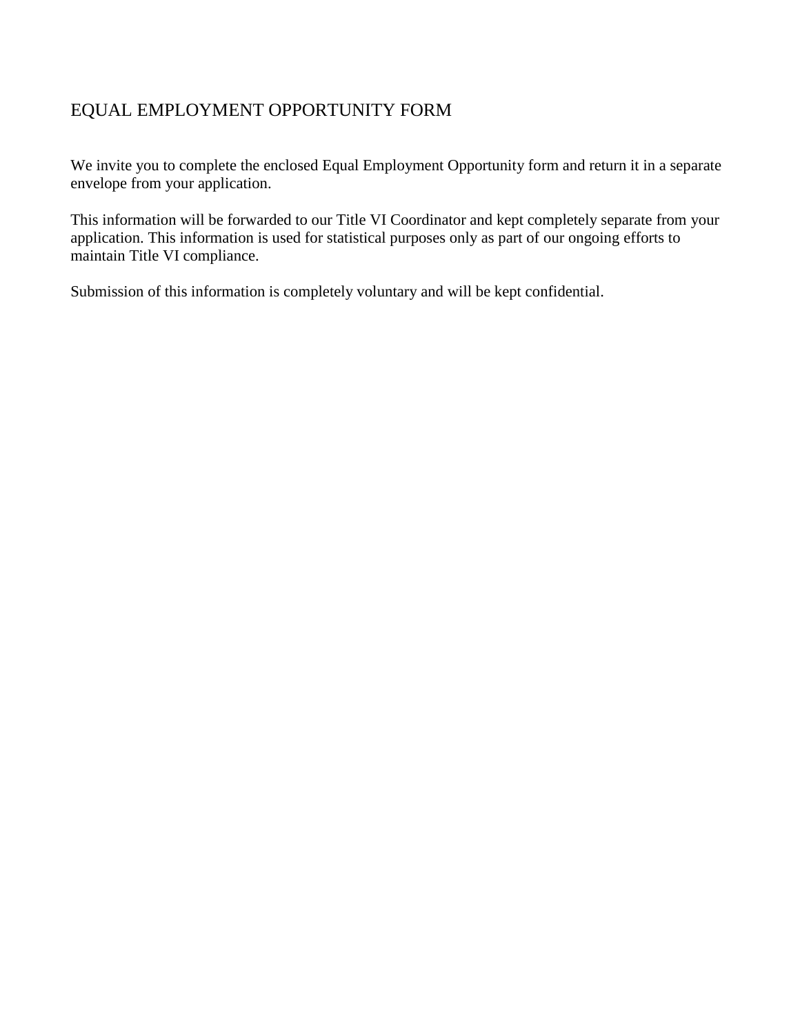# EQUAL EMPLOYMENT OPPORTUNITY FORM

We invite you to complete the enclosed Equal Employment Opportunity form and return it in a separate envelope from your application.

This information will be forwarded to our Title VI Coordinator and kept completely separate from your application. This information is used for statistical purposes only as part of our ongoing efforts to maintain Title VI compliance.

Submission of this information is completely voluntary and will be kept confidential.